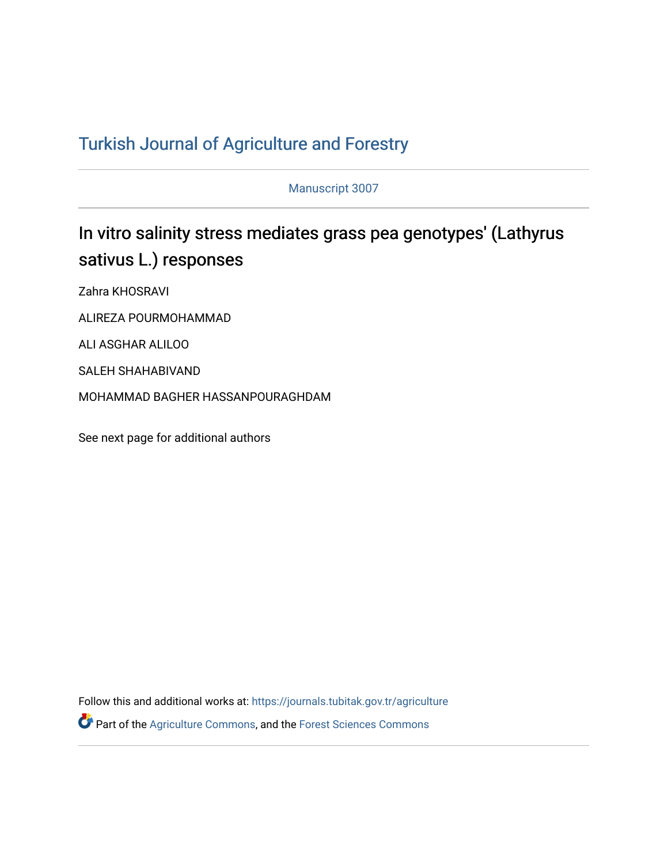# T[urkish Journal of Agriculture and F](https://journals.tubitak.gov.tr/agriculture)orestry

Manuscript 3007

# In vitro salinity stress mediates grass pea genotypes' (Lathyrus sativus L.) responses

Zahra KHOSRAVI

ALIREZA POURMOHAMMAD

ALI ASGHAR ALILOO

SALEH SHAHABIVAND

MOHAMMAD BAGHER HASSANPOURAGHDAM

See next page for additional authors

Follow this and additional works at: [https://journals.tubitak.gov.tr/agriculture](https://journals.tubitak.gov.tr/agriculture?utm_source=journals.tubitak.gov.tr%2Fagriculture%2Fvol46%2Fiss3%2F7&utm_medium=PDF&utm_campaign=PDFCoverPages) Part of the [Agriculture Commons](https://network.bepress.com/hgg/discipline/1076?utm_source=journals.tubitak.gov.tr%2Fagriculture%2Fvol46%2Fiss3%2F7&utm_medium=PDF&utm_campaign=PDFCoverPages), and the [Forest Sciences Commons](https://network.bepress.com/hgg/discipline/90?utm_source=journals.tubitak.gov.tr%2Fagriculture%2Fvol46%2Fiss3%2F7&utm_medium=PDF&utm_campaign=PDFCoverPages)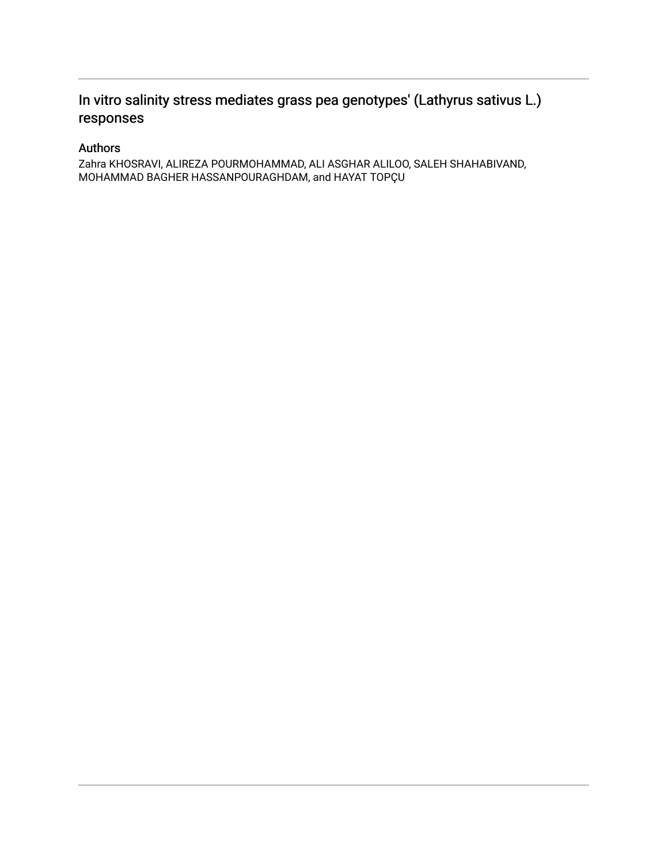## In vitro salinity stress mediates grass pea genotypes' (Lathyrus sativus L.) responses

## Authors

Zahra KHOSRAVI, ALIREZA POURMOHAMMAD, ALI ASGHAR ALILOO, SALEH SHAHABIVAND, MOHAMMAD BAGHER HASSANPOURAGHDAM, and HAYAT TOPÇU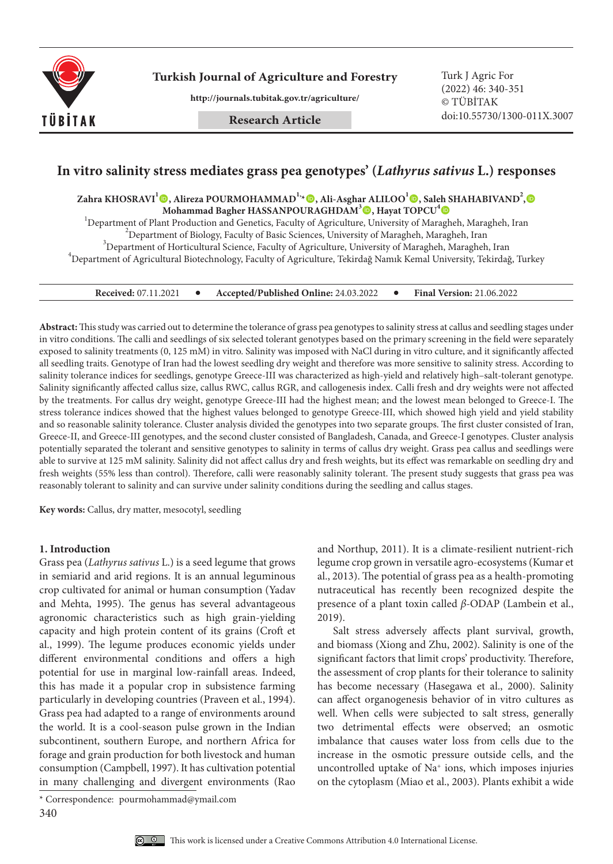

**Turkish Journal of Agriculture and Forestry Turk J Agric For** 

**http://journals.tubitak.gov.tr/agriculture/**

**Research Article**

(2022) 46: 340-351 © TÜBİTAK doi:10.55730/1300-011X.3007

### **In vitro salinity stress mediates grass pea genotypes' (***Lathyrus sativus* **L.) responses**

 $\Delta$ Zahra KHOSRAVI $^{\text{I}}$ ©, Alireza POURMOHAMMAD $^{\text{I}_{\lambda}}$ ©, Ali-Asghar ALILOO $^{\text{I}}$ ©, Saleh SHAHABIVAND $^{\text{2}}$ , **Mohammad Bagher HASSANPOURAGHDAM3 , Hayat TOPCU4**

<sup>1</sup>Department of Plant Production and Genetics, Faculty of Agriculture, University of Maragheh, Maragheh, Iran <sup>2</sup> Department of Piolegy Faculty of Peois Sciences, University of Maragheh, Maragheh, Iran  $\sigma^2$ Department of Biology, Faculty of Basic Sciences, University of Maragheh, Maragheh, Iran  $^3$ Department of Horticultural Science, Faculty of Agriculture, University of Maragheh, Maragheh, Iran  $^{4}$ Department of Agricultural Biotechnology, Faculty of Agriculture, Tekirdağ Namık Kemal University, Tekirdağ, Turkey

**Received:** 07.11.2021 **Accepted/Published Online:** 24.03.2022 **Final Version:** 21.06.2022

**Abstract:** This study was carried out to determine the tolerance of grass pea genotypes to salinity stress at callus and seedling stages under in vitro conditions. The calli and seedlings of six selected tolerant genotypes based on the primary screening in the field were separately exposed to salinity treatments (0, 125 mM) in vitro. Salinity was imposed with NaCl during in vitro culture, and it significantly affected all seedling traits. Genotype of Iran had the lowest seedling dry weight and therefore was more sensitive to salinity stress. According to salinity tolerance indices for seedlings, genotype Greece-III was characterized as high-yield and relatively high–salt-tolerant genotype. Salinity significantly affected callus size, callus RWC, callus RGR, and callogenesis index. Calli fresh and dry weights were not affected by the treatments. For callus dry weight, genotype Greece-III had the highest mean; and the lowest mean belonged to Greece-I. The stress tolerance indices showed that the highest values belonged to genotype Greece-III, which showed high yield and yield stability and so reasonable salinity tolerance. Cluster analysis divided the genotypes into two separate groups. The first cluster consisted of Iran, Greece-II, and Greece-III genotypes, and the second cluster consisted of Bangladesh, Canada, and Greece-I genotypes. Cluster analysis potentially separated the tolerant and sensitive genotypes to salinity in terms of callus dry weight. Grass pea callus and seedlings were able to survive at 125 mM salinity. Salinity did not affect callus dry and fresh weights, but its effect was remarkable on seedling dry and fresh weights (55% less than control). Therefore, calli were reasonably salinity tolerant. The present study suggests that grass pea was reasonably tolerant to salinity and can survive under salinity conditions during the seedling and callus stages.

**Key words:** Callus, dry matter, mesocotyl, seedling

#### **1. Introduction**

Grass pea (*Lathyrus sativus* L.) is a seed legume that grows in semiarid and arid regions. It is an annual leguminous crop cultivated for animal or human consumption (Yadav and Mehta, 1995). The genus has several advantageous agronomic characteristics such as high grain-yielding capacity and high protein content of its grains (Croft et al., 1999). The legume produces economic yields under different environmental conditions and offers a high potential for use in marginal low-rainfall areas. Indeed, this has made it a popular crop in subsistence farming particularly in developing countries (Praveen et al., 1994). Grass pea had adapted to a range of environments around the world. It is a cool-season pulse grown in the Indian subcontinent, southern Europe, and northern Africa for forage and grain production for both livestock and human consumption (Campbell, 1997). It has cultivation potential in many challenging and divergent environments (Rao

and Northup, 2011). It is a climate-resilient nutrient-rich legume crop grown in versatile agro-ecosystems (Kumar et al., 2013). The potential of grass pea as a health-promoting nutraceutical has recently been recognized despite the presence of a plant toxin called *β-*ODAP (Lambein et al., 2019).

Salt stress adversely affects plant survival, growth, and biomass (Xiong and Zhu, 2002). Salinity is one of the significant factors that limit crops' productivity. Therefore, the assessment of crop plants for their tolerance to salinity has become necessary (Hasegawa et al., 2000). Salinity can affect organogenesis behavior of in vitro cultures as well. When cells were subjected to salt stress, generally two detrimental effects were observed; an osmotic imbalance that causes water loss from cells due to the increase in the osmotic pressure outside cells, and the uncontrolled uptake of Na+ ions, which imposes injuries on the cytoplasm (Miao et al., 2003). Plants exhibit a wide

<sup>340</sup> \* Correspondence: pourmohammad@ymail.com

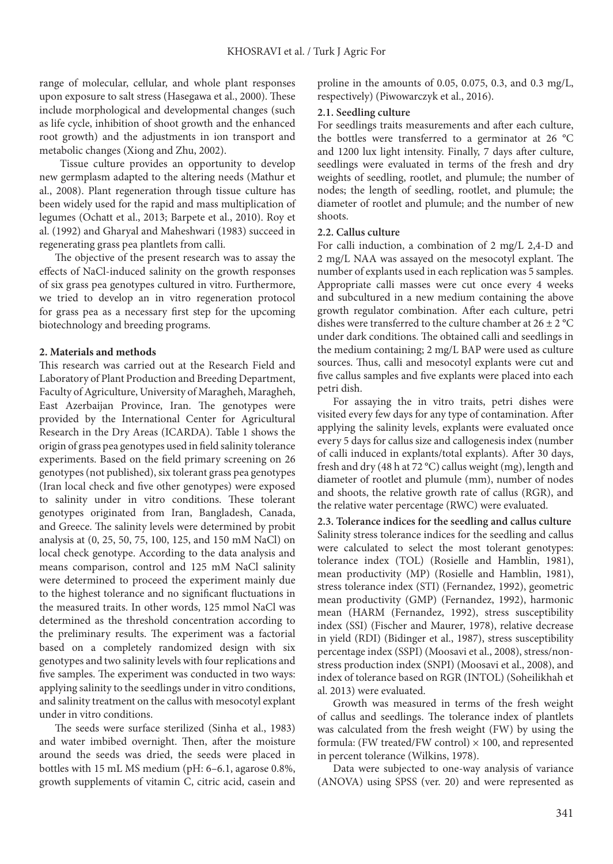range of molecular, cellular, and whole plant responses upon exposure to salt stress (Hasegawa et al., 2000). These include morphological and developmental changes (such as life cycle, inhibition of shoot growth and the enhanced root growth) and the adjustments in ion transport and metabolic changes (Xiong and Zhu, 2002).

 Tissue culture provides an opportunity to develop new germplasm adapted to the altering needs (Mathur et al., 2008). Plant regeneration through tissue culture has been widely used for the rapid and mass multiplication of legumes (Ochatt et al., 2013; Barpete et al., 2010). Roy et al. (1992) and Gharyal and Maheshwari (1983) succeed in regenerating grass pea plantlets from calli.

The objective of the present research was to assay the effects of NaCl-induced salinity on the growth responses of six grass pea genotypes cultured in vitro. Furthermore, we tried to develop an in vitro regeneration protocol for grass pea as a necessary first step for the upcoming biotechnology and breeding programs.

#### **2. Materials and methods**

This research was carried out at the Research Field and Laboratory of Plant Production and Breeding Department, Faculty of Agriculture, University of Maragheh, Maragheh, East Azerbaijan Province, Iran. The genotypes were provided by the International Center for Agricultural Research in the Dry Areas (ICARDA). Table 1 shows the origin of grass pea genotypes used in field salinity tolerance experiments. Based on the field primary screening on 26 genotypes (not published), six tolerant grass pea genotypes (Iran local check and five other genotypes) were exposed to salinity under in vitro conditions. These tolerant genotypes originated from Iran, Bangladesh, Canada, and Greece. The salinity levels were determined by probit analysis at (0, 25, 50, 75, 100, 125, and 150 mM NaCl) on local check genotype. According to the data analysis and means comparison, control and 125 mM NaCl salinity were determined to proceed the experiment mainly due to the highest tolerance and no significant fluctuations in the measured traits. In other words, 125 mmol NaCl was determined as the threshold concentration according to the preliminary results. The experiment was a factorial based on a completely randomized design with six genotypes and two salinity levels with four replications and five samples. The experiment was conducted in two ways: applying salinity to the seedlings under in vitro conditions, and salinity treatment on the callus with mesocotyl explant under in vitro conditions.

The seeds were surface sterilized (Sinha et al., 1983) and water imbibed overnight. Then, after the moisture around the seeds was dried, the seeds were placed in bottles with 15 mL MS medium (pH: 6–6.1, agarose 0.8%, growth supplements of vitamin C, citric acid, casein and proline in the amounts of 0.05, 0.075, 0.3, and 0.3 mg/L, respectively) (Piwowarczyk et al., 2016).

#### **2.1. Seedling culture**

For seedlings traits measurements and after each culture, the bottles were transferred to a germinator at 26 °C and 1200 lux light intensity. Finally, 7 days after culture, seedlings were evaluated in terms of the fresh and dry weights of seedling, rootlet, and plumule; the number of nodes; the length of seedling, rootlet, and plumule; the diameter of rootlet and plumule; and the number of new shoots.

#### **2.2. Callus culture**

For calli induction, a combination of 2 mg/L 2,4-D and 2 mg/L NAA was assayed on the mesocotyl explant. The number of explants used in each replication was 5 samples. Appropriate calli masses were cut once every 4 weeks and subcultured in a new medium containing the above growth regulator combination. After each culture, petri dishes were transferred to the culture chamber at  $26 \pm 2$  °C under dark conditions. The obtained calli and seedlings in the medium containing; 2 mg/L BAP were used as culture sources. Thus, calli and mesocotyl explants were cut and five callus samples and five explants were placed into each petri dish.

For assaying the in vitro traits, petri dishes were visited every few days for any type of contamination. After applying the salinity levels, explants were evaluated once every 5 days for callus size and callogenesis index (number of calli induced in explants/total explants). After 30 days, fresh and dry (48 h at 72 °C) callus weight (mg), length and diameter of rootlet and plumule (mm), number of nodes and shoots, the relative growth rate of callus (RGR), and the relative water percentage (RWC) were evaluated.

**2.3. Tolerance indices for the seedling and callus culture** Salinity stress tolerance indices for the seedling and callus were calculated to select the most tolerant genotypes: tolerance index (TOL) (Rosielle and Hamblin, 1981), mean productivity (MP) (Rosielle and Hamblin, 1981), stress tolerance index (STI) (Fernandez, 1992), geometric mean productivity (GMP) (Fernandez, 1992), harmonic mean (HARM (Fernandez, 1992), stress susceptibility index (SSI) (Fischer and Maurer, 1978), relative decrease in yield (RDI) (Bidinger et al., 1987), stress susceptibility percentage index (SSPI) (Moosavi et al., 2008), stress/nonstress production index (SNPI) (Moosavi et al., 2008), and index of tolerance based on RGR (INTOL) (Soheilikhah et al. 2013) were evaluated.

Growth was measured in terms of the fresh weight of callus and seedlings. The tolerance index of plantlets was calculated from the fresh weight (FW) by using the formula: (FW treated/FW control)  $\times$  100, and represented in percent tolerance (Wilkins, 1978).

Data were subjected to one-way analysis of variance (ANOVA) using SPSS (ver. 20) and were represented as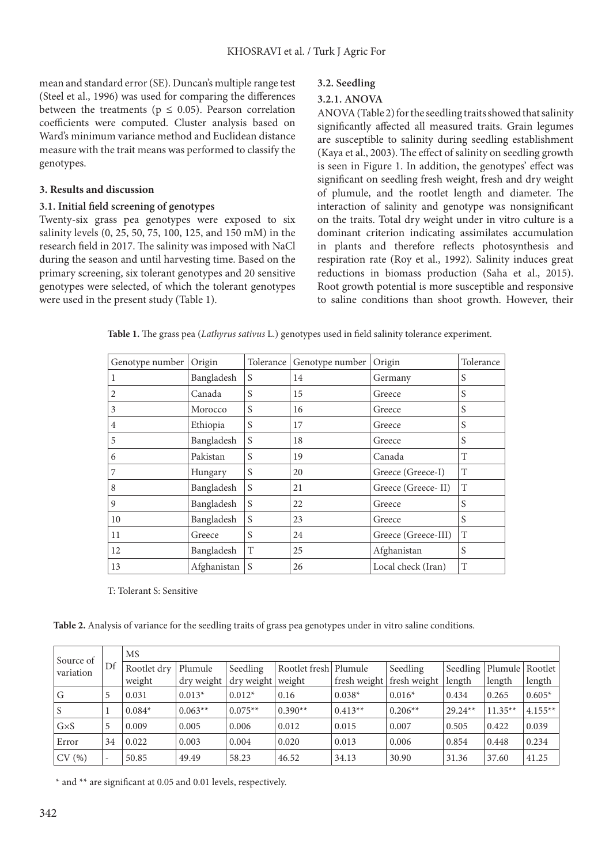mean and standard error (SE). Duncan's multiple range test (Steel et al., 1996) was used for comparing the differences between the treatments ( $p \le 0.05$ ). Pearson correlation coefficients were computed. Cluster analysis based on Ward's minimum variance method and Euclidean distance measure with the trait means was performed to classify the genotypes.

#### **3. Results and discussion**

#### **3.1. Initial field screening of genotypes**

Twenty-six grass pea genotypes were exposed to six salinity levels (0, 25, 50, 75, 100, 125, and 150 mM) in the research field in 2017. The salinity was imposed with NaCl during the season and until harvesting time. Based on the primary screening, six tolerant genotypes and 20 sensitive genotypes were selected, of which the tolerant genotypes were used in the present study (Table 1).

#### **3.2. Seedling**

#### **3.2.1. ANOVA**

ANOVA (Table 2) for the seedling traits showed that salinity significantly affected all measured traits. Grain legumes are susceptible to salinity during seedling establishment (Kaya et al., 2003). The effect of salinity on seedling growth is seen in Figure 1. In addition, the genotypes' effect was significant on seedling fresh weight, fresh and dry weight of plumule, and the rootlet length and diameter. The interaction of salinity and genotype was nonsignificant on the traits. Total dry weight under in vitro culture is a dominant criterion indicating assimilates accumulation in plants and therefore reflects photosynthesis and respiration rate (Roy et al., 1992). Salinity induces great reductions in biomass production (Saha et al., 2015). Root growth potential is more susceptible and responsive to saline conditions than shoot growth. However, their

|  |  |  |  |  |  |  |  |  |  | Table 1. The grass pea (Lathyrus sativus L.) genotypes used in field salinity tolerance experiment. |
|--|--|--|--|--|--|--|--|--|--|-----------------------------------------------------------------------------------------------------|
|--|--|--|--|--|--|--|--|--|--|-----------------------------------------------------------------------------------------------------|

| Genotype number | Origin      | Tolerance | Genotype number | Origin              | Tolerance |
|-----------------|-------------|-----------|-----------------|---------------------|-----------|
| 1               | Bangladesh  | S         | 14              | Germany             | S         |
| 2               | Canada      | S         | 15              | Greece              | S         |
| 3               | Morocco     | S         | 16              | Greece              | S         |
| $\overline{4}$  | Ethiopia    | S         | 17              | Greece              | S         |
| 5               | Bangladesh  | S         | 18              | Greece              | S         |
| 6               | Pakistan    | S         | 19              | Canada              | T         |
| 7               | Hungary     | S         | 20              | Greece (Greece-I)   | T         |
| 8               | Bangladesh  | S         | 21              | Greece (Greece-II)  | T         |
| 9               | Bangladesh  | S         | 22              | Greece              | S         |
| 10              | Bangladesh  | S         | 23              | Greece              | S         |
| 11              | Greece      | S         | 24              | Greece (Greece-III) | T         |
| 12              | Bangladesh  | T         | 25              | Afghanistan         | S         |
| 13              | Afghanistan | S         | 26              | Local check (Iran)  | T         |

T: Tolerant S: Sensitive

**Table 2.** Analysis of variance for the seedling traits of grass pea genotypes under in vitro saline conditions.

| Source of   |    | MS                    |           |                                               |               |           |                                       |                    |                   |                     |  |  |  |
|-------------|----|-----------------------|-----------|-----------------------------------------------|---------------|-----------|---------------------------------------|--------------------|-------------------|---------------------|--|--|--|
| variation   | Df | Rootlet dry<br>weight | Plumule   | Seedling<br>$\frac{dy}{dx}$ dry weight weight | Rootlet fresh | Plumule   | Seedling<br>fresh weight fresh weight | Seedling<br>length | Plumule<br>length | Rootlet  <br>length |  |  |  |
| G           | 5  | 0.031                 | $0.013*$  | $0.012*$                                      | 0.16          | $0.038*$  | $0.016*$                              | 0.434              | 0.265             | $0.605*$            |  |  |  |
| S           |    | $0.084*$              | $0.063**$ | $0.075**$                                     | $0.390**$     | $0.413**$ | $0.206**$                             | $29.24**$          | $11.35**$         | $4.155**$           |  |  |  |
| $G\times S$ | 5  | 0.009                 | 0.005     | 0.006                                         | 0.012         | 0.015     | 0.007                                 | 0.505              | 0.422             | 0.039               |  |  |  |
| Error       | 34 | 0.022                 | 0.003     | 0.004                                         | 0.020         | 0.013     | 0.006                                 | 0.854              | 0.448             | 0.234               |  |  |  |
| CV(%)       |    | 50.85                 | 49.49     | 58.23                                         | 46.52         | 34.13     | 30.90                                 | 31.36              | 37.60             | 41.25               |  |  |  |

\* and \*\* are significant at 0.05 and 0.01 levels, respectively.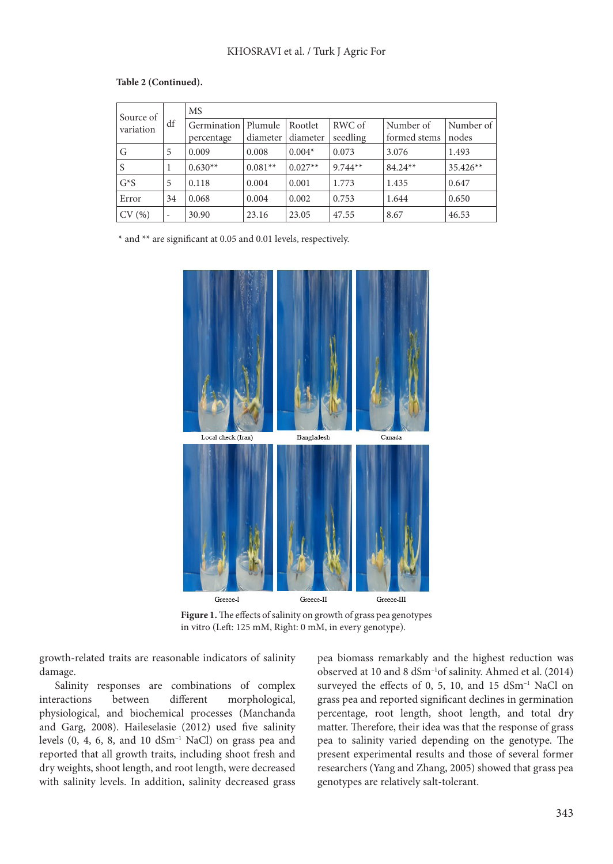| Source of |                          | <b>MS</b>   |           |           |           |              |            |
|-----------|--------------------------|-------------|-----------|-----------|-----------|--------------|------------|
| variation | df                       | Germination | Plumule   | Rootlet   | RWC of    | Number of    | Number of  |
|           |                          | percentage  | diameter  | diameter  | seedling  | formed stems | nodes      |
| G         | 5                        | 0.009       | 0.008     | $0.004*$  | 0.073     | 3.076        | 1.493      |
| S         | 1                        | $0.630**$   | $0.081**$ | $0.027**$ | $9.744**$ | $84.24**$    | $35.426**$ |
| $G^*S$    | 5                        | 0.118       | 0.004     | 0.001     | 1.773     | 1.435        | 0.647      |
| Error     | 34                       | 0.068       | 0.004     | 0.002     | 0.753     | 1.644        | 0.650      |
| CV(%)     | $\overline{\phantom{a}}$ | 30.90       | 23.16     | 23.05     | 47.55     | 8.67         | 46.53      |

#### **Table 2 (Continued).**

\* and \*\* are significant at 0.05 and 0.01 levels, respectively.



**Figure 1.** The effects of salinity on growth of grass pea genotypes in vitro (Left: 125 mM, Right: 0 mM, in every genotype).

growth-related traits are reasonable indicators of salinity damage.

Salinity responses are combinations of complex interactions between different morphological, physiological, and biochemical processes (Manchanda and Garg, 2008). Haileselasie (2012) used five salinity levels  $(0, 4, 6, 8, and 10 dSm<sup>-1</sup> NaCl)$  on grass pea and reported that all growth traits, including shoot fresh and dry weights, shoot length, and root length, were decreased with salinity levels. In addition, salinity decreased grass

pea biomass remarkably and the highest reduction was observed at 10 and 8 dSm–1of salinity. Ahmed et al. (2014) surveyed the effects of 0, 5, 10, and 15 dSm<sup>-1</sup> NaCl on grass pea and reported significant declines in germination percentage, root length, shoot length, and total dry matter. Therefore, their idea was that the response of grass pea to salinity varied depending on the genotype. The present experimental results and those of several former researchers (Yang and Zhang, 2005) showed that grass pea genotypes are relatively salt-tolerant.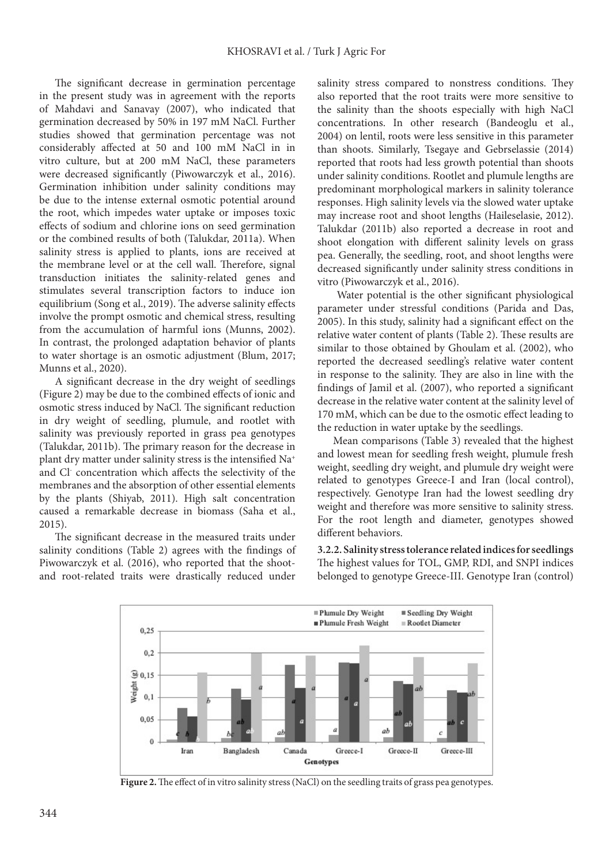The significant decrease in germination percentage in the present study was in agreement with the reports of Mahdavi and Sanavay (2007), who indicated that germination decreased by 50% in 197 mM NaCl. Further studies showed that germination percentage was not considerably affected at 50 and 100 mM NaCl in in vitro culture, but at 200 mM NaCl, these parameters were decreased significantly (Piwowarczyk et al., 2016). Germination inhibition under salinity conditions may be due to the intense external osmotic potential around the root, which impedes water uptake or imposes toxic effects of sodium and chlorine ions on seed germination or the combined results of both (Talukdar, 2011a). When salinity stress is applied to plants, ions are received at the membrane level or at the cell wall. Therefore, signal transduction initiates the salinity-related genes and stimulates several transcription factors to induce ion equilibrium (Song et al., 2019). The adverse salinity effects involve the prompt osmotic and chemical stress, resulting from the accumulation of harmful ions (Munns, 2002). In contrast, the prolonged adaptation behavior of plants to water shortage is an osmotic adjustment (Blum, 2017; Munns et al., 2020).

A significant decrease in the dry weight of seedlings (Figure 2) may be due to the combined effects of ionic and osmotic stress induced by NaCl. The significant reduction in dry weight of seedling, plumule, and rootlet with salinity was previously reported in grass pea genotypes (Talukdar, 2011b). The primary reason for the decrease in plant dry matter under salinity stress is the intensified Na+ and Cl- concentration which affects the selectivity of the membranes and the absorption of other essential elements by the plants (Shiyab, 2011). High salt concentration caused a remarkable decrease in biomass (Saha et al., 2015).

The significant decrease in the measured traits under salinity conditions (Table 2) agrees with the findings of Piwowarczyk et al. (2016), who reported that the shootand root-related traits were drastically reduced under

salinity stress compared to nonstress conditions. They also reported that the root traits were more sensitive to the salinity than the shoots especially with high NaCl concentrations. In other research (Bandeoglu et al., 2004) on lentil, roots were less sensitive in this parameter than shoots. Similarly, Tsegaye and Gebrselassie (2014) reported that roots had less growth potential than shoots under salinity conditions. Rootlet and plumule lengths are predominant morphological markers in salinity tolerance responses. High salinity levels via the slowed water uptake may increase root and shoot lengths (Haileselasie, 2012). Talukdar (2011b) also reported a decrease in root and shoot elongation with different salinity levels on grass pea. Generally, the seedling, root, and shoot lengths were decreased significantly under salinity stress conditions in vitro (Piwowarczyk et al., 2016).

 Water potential is the other significant physiological parameter under stressful conditions (Parida and Das, 2005). In this study, salinity had a significant effect on the relative water content of plants (Table 2). These results are similar to those obtained by Ghoulam et al. (2002), who reported the decreased seedling's relative water content in response to the salinity. They are also in line with the findings of Jamil et al. (2007), who reported a significant decrease in the relative water content at the salinity level of 170 mM, which can be due to the osmotic effect leading to the reduction in water uptake by the seedlings.

Mean comparisons (Table 3) revealed that the highest and lowest mean for seedling fresh weight, plumule fresh weight, seedling dry weight, and plumule dry weight were related to genotypes Greece-I and Iran (local control), respectively. Genotype Iran had the lowest seedling dry weight and therefore was more sensitive to salinity stress. For the root length and diameter, genotypes showed different behaviors.

**3.2.2. Salinity stress tolerance related indices for seedlings**  The highest values for TOL, GMP, RDI, and SNPI indices belonged to genotype Greece-III. Genotype Iran (control)



**Figure 2.** The effect of in vitro salinity stress (NaCl) on the seedling traits of grass pea genotypes.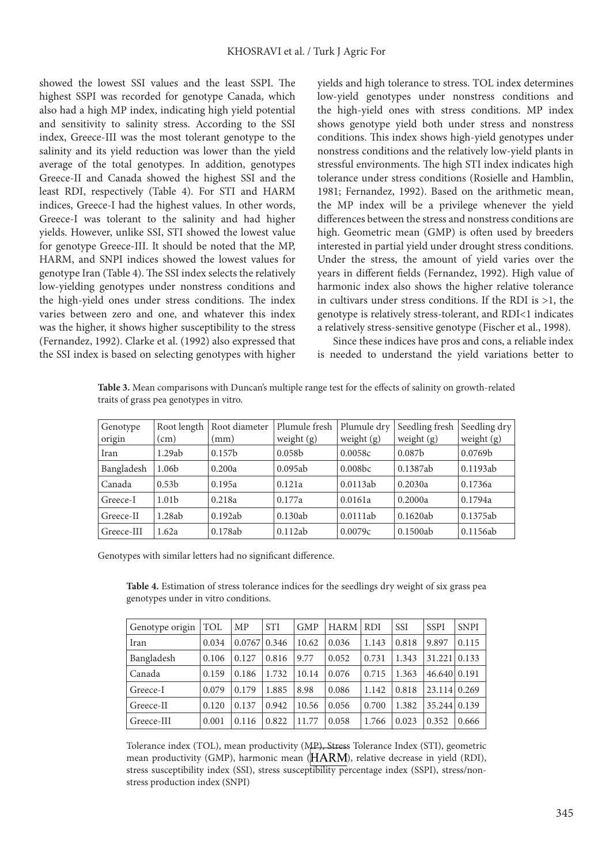showed the lowest SSI values and the least SSPI. The highest SSPI was recorded for genotype Canada, which also had a high MP index, indicating high yield potential and sensitivity to salinity stress. According to the SSI index, Greece-III was the most tolerant genotype to the salinity and its yield reduction was lower than the yield average of the total genotypes. In addition, genotypes Greece-II and Canada showed the highest SSI and the least RDI, respectively (Table 4). For STI and HARM indices, Greece-I had the highest values. In other words, Greece-I was tolerant to the salinity and had higher yields. However, unlike SSI, STI showed the lowest value for genotype Greece-III. It should be noted that the MP, HARM, and SNPI indices showed the lowest values for genotype Iran (Table 4). The SSI index selects the relatively low-yielding genotypes under nonstress conditions and the high-yield ones under stress conditions. The index varies between zero and one, and whatever this index was the higher, it shows higher susceptibility to the stress (Fernandez, 1992). Clarke et al. (1992) also expressed that the SSI index is based on selecting genotypes with higher yields and high tolerance to stress. TOL index determines low-yield genotypes under nonstress conditions and the high-yield ones with stress conditions. MP index shows genotype yield both under stress and nonstress conditions. This index shows high-yield genotypes under nonstress conditions and the relatively low-yield plants in stressful environments. The high STI index indicates high tolerance under stress conditions (Rosielle and Hamblin, 1981; Fernandez, 1992). Based on the arithmetic mean, the MP index will be a privilege whenever the yield differences between the stress and nonstress conditions are high. Geometric mean (GMP) is often used by breeders interested in partial yield under drought stress conditions. Under the stress, the amount of yield varies over the years in different fields (Fernandez, 1992). High value of harmonic index also shows the higher relative tolerance in cultivars under stress conditions. If the RDI is >1, the genotype is relatively stress-tolerant, and RDI<1 indicates a relatively stress-sensitive genotype (Fischer et al., 1998).

Since these indices have pros and cons, a reliable index is needed to understand the yield variations better to

| traits of grass pea genotypes in vitro. |                   |                    |                    |                    |                    |                     |
|-----------------------------------------|-------------------|--------------------|--------------------|--------------------|--------------------|---------------------|
| Genotype                                | Root length $ $   | Root diameter      | Plumule fresh      | Plumule dry        | Seedling fresh     | Seedling dry        |
| origin                                  | $\rm (cm)$        | (mm)               | weight $(g)$       | weight $(g)$       | weight $(g)$       | weight $(g)$        |
| Iran                                    | 1.29ab            | 0.157 <sub>b</sub> | 0.058 <sub>b</sub> | 0.0058c            | 0.087 <sub>b</sub> | 0.0769 <sub>b</sub> |
| Bangladesh                              | 1.06b             | 0.200a             | 0.095ab            | 0.008 <sub>b</sub> | 0.1387ab           | 0.1193ab            |
| Canada                                  | 0.53 <sub>b</sub> | 0.195a             | 0.121a             | 0.0113ab           | 0.2030a            | 0.1736a             |
|                                         |                   |                    |                    |                    |                    |                     |

Greece-I | 1.01b | 0.218a | 0.177a | 0.0161a | 0.2000a | 0.1794a Greece-II 1.28ab 0.192ab 0.130ab 0.0111ab 0.1620ab 0.1375ab Greece-III | 1.62a | 0.178ab | 0.112ab | 0.0079c | 0.1500ab | 0.1156ab

**Table 3.** Mean comparisons with Duncan's multiple range test for the effects of salinity on growth-related

Genotypes with similar letters had no significant difference.

**Table 4.** Estimation of stress tolerance indices for the seedlings dry weight of six grass pea genotypes under in vitro conditions.

| Genotype origin | TOL   | МP               | <b>STI</b> | <b>GMP</b> | <b>HARM</b> | l RDI | <b>SSI</b> | <b>SSPI</b>  | <b>SNPI</b> |
|-----------------|-------|------------------|------------|------------|-------------|-------|------------|--------------|-------------|
| Iran            | 0.034 | $0.0767$   0.346 |            | 10.62      | 0.036       | 1.143 | 0.818      | 9.897        | 0.115       |
| Bangladesh      | 0.106 | 0.127            | 0.816      | 9.77       | 0.052       | 0.731 | 1.343      | 31.221       | 0.133       |
| Canada          | 0.159 | 0.186            | 1.732      | 10.14      | 0.076       | 0.715 | 1.363      | 46.640 0.191 |             |
| Greece-I        | 0.079 | 0.179            | 1.885      | 8.98       | 0.086       | 1.142 | 0.818      | 23.114 0.269 |             |
| Greece-II       | 0.120 | 0.137            | 0.942      | 10.56      | 0.056       | 0.700 | 1.382      | 35.244       | 0.139       |
| Greece-III      | 0.001 | 0.116            | 0.822      | 11.77      | 0.058       | 1.766 | 0.023      | 0.352        | 0.666       |

Tolerance index (TOL), mean productivity (MP), Stress Tolerance Index (STI), geometric mean productivity (GMP), harmonic mean  $(HARM)$ , relative decrease in yield (RDI), stress susceptibility index (SSI), stress susceptibility percentage index (SSPI), stress/nonstress production index (SNPI)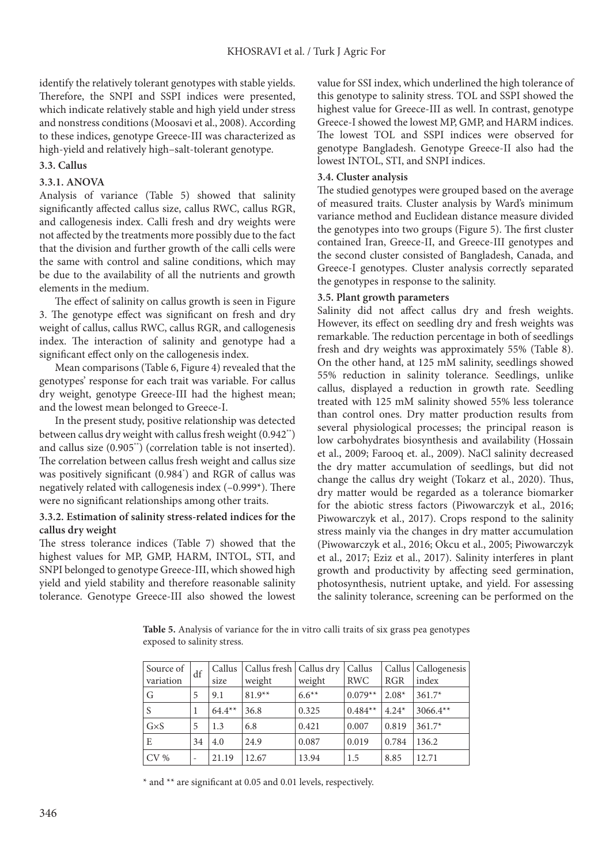identify the relatively tolerant genotypes with stable yields. Therefore, the SNPI and SSPI indices were presented, which indicate relatively stable and high yield under stress and nonstress conditions (Moosavi et al., 2008). According to these indices, genotype Greece-III was characterized as high-yield and relatively high–salt-tolerant genotype.

#### **3.3. Callus**

#### **3.3.1. ANOVA**

Analysis of variance (Table 5) showed that salinity significantly affected callus size, callus RWC, callus RGR, and callogenesis index. Calli fresh and dry weights were not affected by the treatments more possibly due to the fact that the division and further growth of the calli cells were the same with control and saline conditions, which may be due to the availability of all the nutrients and growth elements in the medium.

The effect of salinity on callus growth is seen in Figure 3. The genotype effect was significant on fresh and dry weight of callus, callus RWC, callus RGR, and callogenesis index. The interaction of salinity and genotype had a significant effect only on the callogenesis index.

Mean comparisons (Table 6, Figure 4) revealed that the genotypes' response for each trait was variable. For callus dry weight, genotype Greece-III had the highest mean; and the lowest mean belonged to Greece-I.

In the present study, positive relationship was detected between callus dry weight with callus fresh weight (0.942\*\*) and callus size (0.905\*\*) (correlation table is not inserted). The correlation between callus fresh weight and callus size was positively significant (0.984\* ) and RGR of callus was negatively related with callogenesis index (–0.999\*). There were no significant relationships among other traits.

#### **3.3.2. Estimation of salinity stress-related indices for the callus dry weight**

The stress tolerance indices (Table 7) showed that the highest values for MP, GMP, HARM, INTOL, STI, and SNPI belonged to genotype Greece-III, which showed high yield and yield stability and therefore reasonable salinity tolerance. Genotype Greece-III also showed the lowest

value for SSI index, which underlined the high tolerance of this genotype to salinity stress. TOL and SSPI showed the highest value for Greece-III as well. In contrast, genotype Greece-I showed the lowest MP, GMP, and HARM indices. The lowest TOL and SSPI indices were observed for genotype Bangladesh. Genotype Greece-II also had the lowest INTOL, STI, and SNPI indices.

#### **3.4. Cluster analysis**

The studied genotypes were grouped based on the average of measured traits. Cluster analysis by Ward's minimum variance method and Euclidean distance measure divided the genotypes into two groups (Figure 5). The first cluster contained Iran, Greece-II, and Greece-III genotypes and the second cluster consisted of Bangladesh, Canada, and Greece-I genotypes. Cluster analysis correctly separated the genotypes in response to the salinity.

#### **3.5. Plant growth parameters**

Salinity did not affect callus dry and fresh weights. However, its effect on seedling dry and fresh weights was remarkable. The reduction percentage in both of seedlings fresh and dry weights was approximately 55% (Table 8). On the other hand, at 125 mM salinity, seedlings showed 55% reduction in salinity tolerance. Seedlings, unlike callus, displayed a reduction in growth rate. Seedling treated with 125 mM salinity showed 55% less tolerance than control ones. Dry matter production results from several physiological processes; the principal reason is low carbohydrates biosynthesis and availability (Hossain et al., 2009; Farooq et. al., 2009). NaCl salinity decreased the dry matter accumulation of seedlings, but did not change the callus dry weight (Tokarz et al., 2020). Thus, dry matter would be regarded as a tolerance biomarker for the abiotic stress factors (Piwowarczyk et al., 2016; Piwowarczyk et al., 2017). Crops respond to the salinity stress mainly via the changes in dry matter accumulation (Piwowarczyk et al., 2016; Okcu et al., 2005; Piwowarczyk et al., 2017; Eziz et al., 2017). Salinity interferes in plant growth and productivity by affecting seed germination, photosynthesis, nutrient uptake, and yield. For assessing the salinity tolerance, screening can be performed on the

Source of Source of  $df$  Callus variation size Callus fresh weight Callus dry weight Callus RWC Callus RGR Callogenesis index G  $\begin{array}{|c|c|c|c|c|c|} \hline 5 & 9.1 & 81.9^{**} & 6.6^{**} & 0.079^{**} & 2.08^{*} & 361.7^{*} \ \hline \end{array}$ S | 1  $\begin{array}{|l} 64.4** \end{array}$  | 36.8 | 0.325 | 0.484\*\* | 4.24\* | 3066.4\*\* G $\times$ S | 5 | 1.3 | 6.8 | 0.421 | 0.007 | 0.819 | 361.7\* E  $|34|4.0|24.9|0.087|0.019|0.784|136.2$ CV % |- |21.19 |12.67 |13.94 |1.5 |8.85 |12.71

**Table 5.** Analysis of variance for the in vitro calli traits of six grass pea genotypes exposed to salinity stress.

\* and \*\* are significant at 0.05 and 0.01 levels, respectively.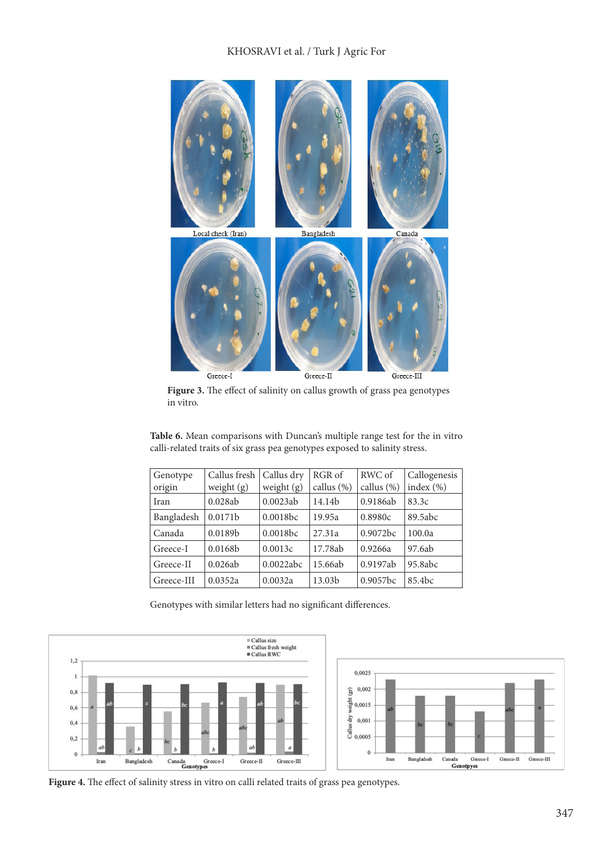#### KHOSRAVI et al. / Turk J Agric For



**Figure 3.** The effect of salinity on callus growth of grass pea genotypes in vitro.

| Genotype   | Callus fresh        | Callus dry   | RGR of             | RWC of      | Callogenesis       |
|------------|---------------------|--------------|--------------------|-------------|--------------------|
| origin     | weight $(g)$        | weight $(g)$ | callus (%)         | callus (%)  | index $(\% )$      |
| Iran       | 0.028ab             | 0.0023ab     | 14.14b             | 0.9186ab    | 83.3c              |
| Bangladesh | 0.0171 <sub>b</sub> | 0.0018bc     | 19.95a             | 0.8980c     | 89.5abc            |
| Canada     | 0.0189b             | 0.0018bc     | 27.31a             | 0.9072bc    | 100.0a             |
| Greece-I   | 0.0168 <sub>b</sub> | 0.0013c      | 17.78ab            | 0.9266a     | 97.6ab             |
| Greece-II  | 0.026ab             | 0.0022abc    | 15.66ab            | 0.9197ab    | 95.8abc            |
| Greece-III | 0.0352a             | 0.0032a      | 13.03 <sub>b</sub> | $0.9057$ bc | 85.4 <sub>bc</sub> |

**Table 6.** Mean comparisons with Duncan's multiple range test for the in vitro calli-related traits of six grass pea genotypes exposed to salinity stress.

Genotypes with similar letters had no significant differences.





**Figure 4.** The effect of salinity stress in vitro on calli related traits of grass pea genotypes.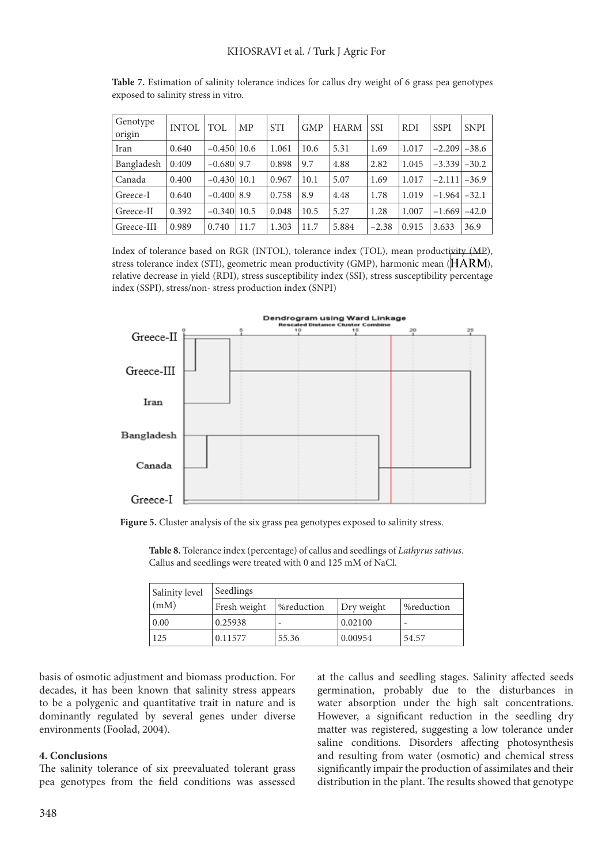| Genotype<br>origin | <b>INTOL</b> | TOL             | <b>MP</b> | <b>STI</b> | <b>GMP</b> | <b>HARM</b> | <b>SSI</b> | <b>RDI</b> | <b>SSPI</b> | <b>SNPI</b> |
|--------------------|--------------|-----------------|-----------|------------|------------|-------------|------------|------------|-------------|-------------|
| Iran               | 0.640        | $-0.450$   10.6 |           | 1.061      | 10.6       | 5.31        | 1.69       | 1.017      | $-2.209$    | $-38.6$     |
| Bangladesh         | 0.409        | $-0.680$   9.7  |           | 0.898      | 9.7        | 4.88        | 2.82       | 1.045      | $-3.339$    | $-30.2$     |
| Canada             | 0.400        | $-0.430 10.1$   |           | 0.967      | 10.1       | 5.07        | 1.69       | 1.017      | $-2.111$    | $-36.9$     |
| Greece-I           | 0.640        | $-0.400$ 8.9    |           | 0.758      | 8.9        | 4.48        | 1.78       | 1.019      | $-1.964$    | $-32.1$     |
| Greece-II          | 0.392        | $-0.340$   10.5 |           | 0.048      | 10.5       | 5.27        | 1.28       | 1.007      | $-1.669$    | $-42.0$     |
| Greece-III         | 0.989        | 0.740           | 11.7      | 1.303      | 11.7       | 5.884       | $-2.38$    | 0.915      | 3.633       | 36.9        |

**Table 7.** Estimation of salinity tolerance indices for callus dry weight of 6 grass pea genotypes exposed to salinity stress in vitro.

Index of tolerance based on RGR (INTOL), tolerance index (TOL), mean productivity (MP), stress tolerance index (STI), geometric mean productivity (GMP), harmonic mean  $(HARM)$ , relative decrease in yield (RDI), stress susceptibility index (SSI), stress susceptibility percentage index (SSPI), stress/non- stress production index (SNPI)



**Figure 5.** Cluster analysis of the six grass pea genotypes exposed to salinity stress.

| Salinity level     | Seedlings    |            |            |            |
|--------------------|--------------|------------|------------|------------|
| (mM)               | Fresh weight | %reduction | Dry weight | %reduction |
| $\vert 0.00 \vert$ | 0.25938      |            | 0.02100    |            |
| 125                | 0.11577      | 55.36      | 0.00954    | 54.57      |

**Table 8.** Tolerance index (percentage) of callus and seedlings of *Lathyrus sativus*. Callus and seedlings were treated with 0 and 125 mM of NaCl.

basis of osmotic adjustment and biomass production. For decades, it has been known that salinity stress appears to be a polygenic and quantitative trait in nature and is dominantly regulated by several genes under diverse environments (Foolad, 2004).

#### **4. Conclusions**

The salinity tolerance of six preevaluated tolerant grass pea genotypes from the field conditions was assessed at the callus and seedling stages. Salinity affected seeds germination, probably due to the disturbances in water absorption under the high salt concentrations. However, a significant reduction in the seedling dry matter was registered, suggesting a low tolerance under saline conditions. Disorders affecting photosynthesis and resulting from water (osmotic) and chemical stress significantly impair the production of assimilates and their distribution in the plant. The results showed that genotype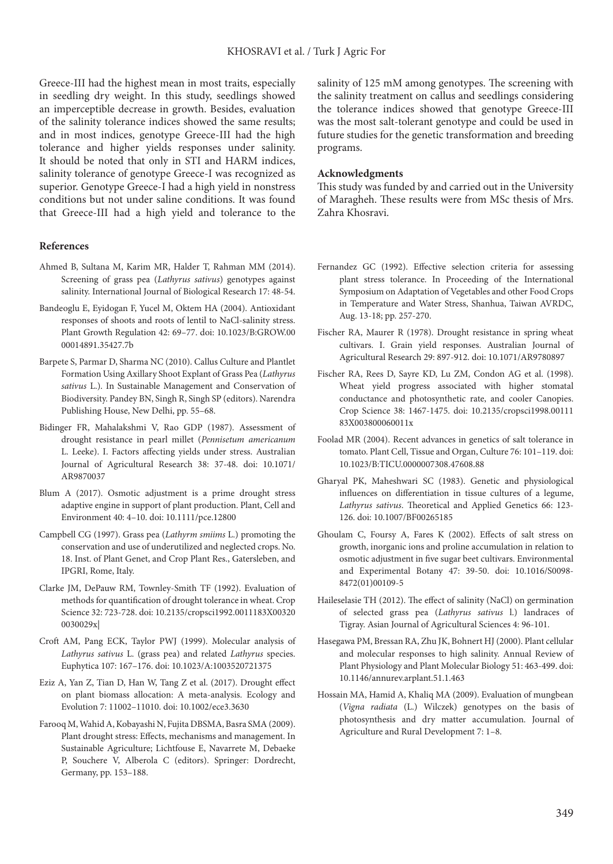Greece-III had the highest mean in most traits, especially in seedling dry weight. In this study, seedlings showed an imperceptible decrease in growth. Besides, evaluation of the salinity tolerance indices showed the same results; and in most indices, genotype Greece-III had the high tolerance and higher yields responses under salinity. It should be noted that only in STI and HARM indices, salinity tolerance of genotype Greece-I was recognized as superior. Genotype Greece-I had a high yield in nonstress conditions but not under saline conditions. It was found that Greece-III had a high yield and tolerance to the

#### **References**

- Ahmed B, Sultana M, Karim MR, Halder T, Rahman MM (2014). Screening of grass pea (*Lathyrus sativus*) genotypes against salinity. International Journal of Biological Research 17: 48-54.
- Bandeoglu E, Eyidogan F, Yucel M, Oktem HA (2004). Antioxidant responses of shoots and roots of lentil to NaCl-salinity stress. Plant Growth Regulation 42: 69–77. doi: 10.1023/B:GROW.00 00014891.35427.7b
- Barpete S, Parmar D, Sharma NC (2010). Callus Culture and Plantlet Formation Using Axillary Shoot Explant of Grass Pea (*Lathyrus sativus* L.). In Sustainable Management and Conservation of Biodiversity. Pandey BN, Singh R, Singh SP (editors). Narendra Publishing House, New Delhi, pp. 55–68.
- Bidinger FR, Mahalakshmi V, Rao GDP (1987). Assessment of drought resistance in pearl millet (*Pennisetum americanum* L. Leeke). I. Factors affecting yields under stress. Australian Journal of Agricultural Research 38: 37-48. doi: 10.1071/ AR9870037
- Blum A (2017). Osmotic adjustment is a prime drought stress adaptive engine in support of plant production. Plant, Cell and Environment 40: 4–10. doi: 10.1111/pce.12800
- Campbell CG (1997). Grass pea (*Lathyrm smiims* L.) promoting the conservation and use of underutilized and neglected crops. No. 18. Inst. of Plant Genet, and Crop Plant Res., Gatersleben, and IPGRI, Rome, Italy.
- Clarke JM, DePauw RM, Townley-Smith TF (1992). Evaluation of methods for quantification of drought tolerance in wheat. Crop Science 32: 723-728. doi: 10.2135/cropsci1992.0011183X00320 0030029x|
- Croft AM, Pang ECK, Taylor PWJ (1999). Molecular analysis of *Lathyrus sativus* L. (grass pea) and related *Lathyrus* species. Euphytica 107: 167–176. doi: 10.1023/A:1003520721375
- Eziz A, Yan Z, Tian D, Han W, Tang Z et al. (2017). Drought effect on plant biomass allocation: A meta-analysis. Ecology and Evolution 7: 11002–11010. doi: 10.1002/ece3.3630
- Farooq M, Wahid A, Kobayashi N, Fujita DBSMA, Basra SMA (2009). Plant drought stress: Effects, mechanisms and management. In Sustainable Agriculture; Lichtfouse E, Navarrete M, Debaeke P, Souchere V, Alberola C (editors). Springer: Dordrecht, Germany, pp. 153–188.

salinity of 125 mM among genotypes. The screening with the salinity treatment on callus and seedlings considering the tolerance indices showed that genotype Greece-III was the most salt-tolerant genotype and could be used in future studies for the genetic transformation and breeding programs.

#### **Acknowledgments**

This study was funded by and carried out in the University of Maragheh. These results were from MSc thesis of Mrs. Zahra Khosravi.

- Fernandez GC (1992). Effective selection criteria for assessing plant stress tolerance. In Proceeding of the International Symposium on Adaptation of Vegetables and other Food Crops in Temperature and Water Stress, Shanhua, Taiwan AVRDC, Aug. 13-18; pp. 257-270.
- Fischer RA, Maurer R (1978). Drought resistance in spring wheat cultivars. I. Grain yield responses. Australian Journal of Agricultural Research 29: 897-912. doi: 10.1071/AR9780897
- Fischer RA, Rees D, Sayre KD, Lu ZM, Condon AG et al. (1998). Wheat yield progress associated with higher stomatal conductance and photosynthetic rate, and cooler Canopies. Crop Science 38: 1467-1475. doi: 10.2135/cropsci1998.00111 83X003800060011x
- Foolad MR (2004). Recent advances in genetics of salt tolerance in tomato. Plant Cell, Tissue and Organ, Culture 76: 101–119. doi: 10.1023/B:TICU.0000007308.47608.88
- Gharyal PK, Maheshwari SC (1983). Genetic and physiological influences on differentiation in tissue cultures of a legume, *Lathyrus sativus*. Theoretical and Applied Genetics 66: 123- 126. doi: 10.1007/BF00265185
- Ghoulam C, Foursy A, Fares K (2002). Effects of salt stress on growth, inorganic ions and proline accumulation in relation to osmotic adjustment in five sugar beet cultivars. Environmental and Experimental Botany 47: 39-50. doi: 10.1016/S0098- 8472(01)00109-5
- Haileselasie TH (2012). The effect of salinity (NaCl) on germination of selected grass pea (*Lathyrus sativus* l.) landraces of Tigray. Asian Journal of Agricultural Sciences 4: 96-101.
- Hasegawa PM, Bressan RA, Zhu JK, Bohnert HJ (2000). Plant cellular and molecular responses to high salinity. Annual Review of Plant Physiology and Plant Molecular Biology 51: 463-499. doi: 10.1146/annurev.arplant.51.1.463
- Hossain MA, Hamid A, Khaliq MA (2009). Evaluation of mungbean (*Vigna radiata* (L.) Wilczek) genotypes on the basis of photosynthesis and dry matter accumulation. Journal of Agriculture and Rural Development 7: 1–8.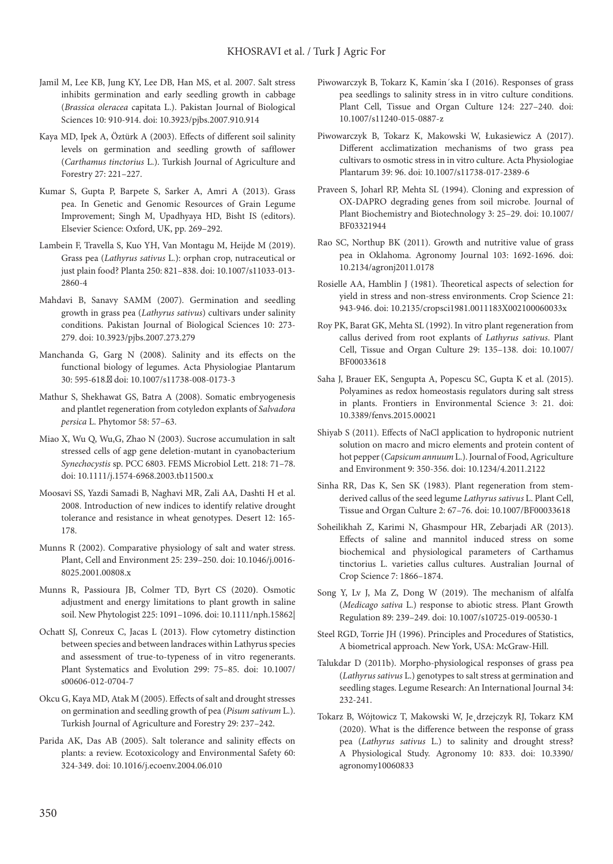- Jamil M, Lee KB, Jung KY, Lee DB, Han MS, et al. 2007. Salt stress inhibits germination and early seedling growth in cabbage (*Brassica oleracea* capitata L.). Pakistan Journal of Biological Sciences 10: 910-914. doi: 10.3923/pjbs.2007.910.914
- Kaya MD, Ipek A, Öztürk A (2003). Effects of different soil salinity levels on germination and seedling growth of safflower (*Carthamus tinctorius* L.). Turkish Journal of Agriculture and Forestry 27: 221–227.
- Kumar S, Gupta P, Barpete S, Sarker A, Amri A (2013). Grass pea. In Genetic and Genomic Resources of Grain Legume Improvement; Singh M, Upadhyaya HD, Bisht IS (editors). Elsevier Science: Oxford, UK, pp. 269–292.
- Lambein F, Travella S, Kuo YH, Van Montagu M, Heijde M (2019). Grass pea (*Lathyrus sativus* L.): orphan crop, nutraceutical or just plain food? Planta 250: 821–838. doi: 10.1007/s11033-013- 2860-4
- Mahdavi B, Sanavy SAMM (2007). Germination and seedling growth in grass pea (*Lathyrus sativus*) cultivars under salinity conditions. Pakistan Journal of Biological Sciences 10: 273- 279. doi: 10.3923/pjbs.2007.273.279
- Manchanda G, Garg N (2008). Salinity and its effects on the functional biology of legumes. Acta Physiologiae Plantarum 30: 595-618. doi: 10.1007/s11738-008-0173-3
- Mathur S, Shekhawat GS, Batra A (2008). Somatic embryogenesis and plantlet regeneration from cotyledon explants of *Salvadora persica* L. Phytomor 58: 57–63.
- Miao X, Wu Q, Wu,G, Zhao N (2003). Sucrose accumulation in salt stressed cells of agp gene deletion-mutant in cyanobacterium *Synechocystis* sp. PCC 6803. FEMS Microbiol Lett. 218: 71–78. doi: 10.1111/j.1574-6968.2003.tb11500.x
- Moosavi SS, Yazdi Samadi B, Naghavi MR, Zali AA, Dashti H et al. 2008. Introduction of new indices to identify relative drought tolerance and resistance in wheat genotypes. Desert 12: 165- 178.
- Munns R (2002). Comparative physiology of salt and water stress. Plant, Cell and Environment 25: 239–250. [doi: 10.1046/j.0016-](https://doi.org/10.1046/j.0016-8025.2001.00808.x) [8025.2001.00808.x](https://doi.org/10.1046/j.0016-8025.2001.00808.x)
- Munns R, Passioura JB, Colmer TD, Byrt CS (2020**)**. Osmotic adjustment and energy limitations to plant growth in saline soil. New Phytologist 225: 1091–1096. doi: 10.1111/nph.15862|
- Ochatt SJ, Conreux C, Jacas L (2013). Flow cytometry distinction between species and between landraces within Lathyrus species and assessment of true-to-typeness of in vitro regenerants. Plant Systematics and Evolution 299: 75–85. doi: 10.1007/ s00606-012-0704-7
- Okcu G, Kaya MD, Atak M (2005). Effects of salt and drought stresses on germination and seedling growth of pea (*Pisum sativum* L.). Turkish Journal of Agriculture and Forestry 29: 237–242.
- Parida AK, Das AB (2005). Salt tolerance and salinity effects on plants: a review. Ecotoxicology and Environmental Safety 60: 324-349. doi: 10.1016/j.ecoenv.2004.06.010
- Piwowarczyk B, Tokarz K, Kamin´ska I (2016). Responses of grass pea seedlings to salinity stress in in vitro culture conditions. Plant Cell, Tissue and Organ Culture 124: 227–240. doi: 10.1007/s11240-015-0887-z
- Piwowarczyk B, Tokarz K, Makowski W, Łukasiewicz A (2017). Different acclimatization mechanisms of two grass pea cultivars to osmotic stress in in vitro culture. Acta Physiologiae Plantarum 39: 96. doi: 10.1007/s11738-017-2389-6
- Praveen S, Joharl RP, Mehta SL (1994). Cloning and expression of OX-DAPRO degrading genes from soil microbe. Journal of Plant Biochemistry and Biotechnology 3: 25–29. doi: 10.1007/ BF03321944
- Rao SC, Northup BK (2011). Growth and nutritive value of grass pea in Oklahoma. Agronomy Journal 103: 1692-1696. doi: 10.2134/agronj2011.0178
- Rosielle AA, Hamblin J (1981). Theoretical aspects of selection for yield in stress and non-stress environments. Crop Science 21: 943-946. doi: 10.2135/cropsci1981.0011183X002100060033x
- Roy PK, Barat GK, Mehta SL (1992). In vitro plant regeneration from callus derived from root explants of *Lathyrus sativus*. Plant Cell, Tissue and Organ Culture 29: 135–138. doi: 10.1007/ BF00033618
- Saha J, Brauer EK, Sengupta A, Popescu SC, Gupta K et al. (2015). Polyamines as redox homeostasis regulators during salt stress in plants. Frontiers in Environmental Science 3: 21. doi: 10.3389/fenvs.2015.00021
- Shiyab S (2011). Effects of NaCl application to hydroponic nutrient solution on macro and micro elements and protein content of hot pepper (*Capsicumannuum* L.). Journal of Food, Agriculture and Environment 9: 350-356. doi: 10.1234/4.2011.2122
- Sinha RR, Das K, Sen SK (1983). Plant regeneration from stemderived callus of the seed legume *Lathyrus sativus* L. Plant Cell, Tissue and Organ Culture 2: 67–76. doi: 10.1007/BF00033618
- Soheilikhah Z, Karimi N, Ghasmpour HR, Zebarjadi AR (2013). Effects of saline and mannitol induced stress on some biochemical and physiological parameters of Carthamus tinctorius L. varieties callus cultures. Australian Journal of Crop Science 7: 1866–1874.
- Song Y, Lv J, Ma Z, Dong W (2019). The mechanism of alfalfa (*Medicago sativa* L.) response to abiotic stress. Plant Growth Regulation 89: 239–249. doi: 10.1007/s10725-019-00530-1
- Steel RGD, Torrie JH (1996). Principles and Procedures of Statistics, A biometrical approach. New York, USA: McGraw-Hill.
- Talukdar D (2011b). Morpho-physiological responses of grass pea (*Lathyrus sativus* L.) genotypes to salt stress at germination and seedling stages. Legume Research: An International Journal 34: 232-241.
- Tokarz B, Wójtowicz T, Makowski W, Je˛drzejczyk RJ, Tokarz KM (2020). What is the difference between the response of grass pea (*Lathyrus sativus* L.) to salinity and drought stress? A Physiological Study. Agronomy 10: 833. doi: 10.3390/ agronomy10060833